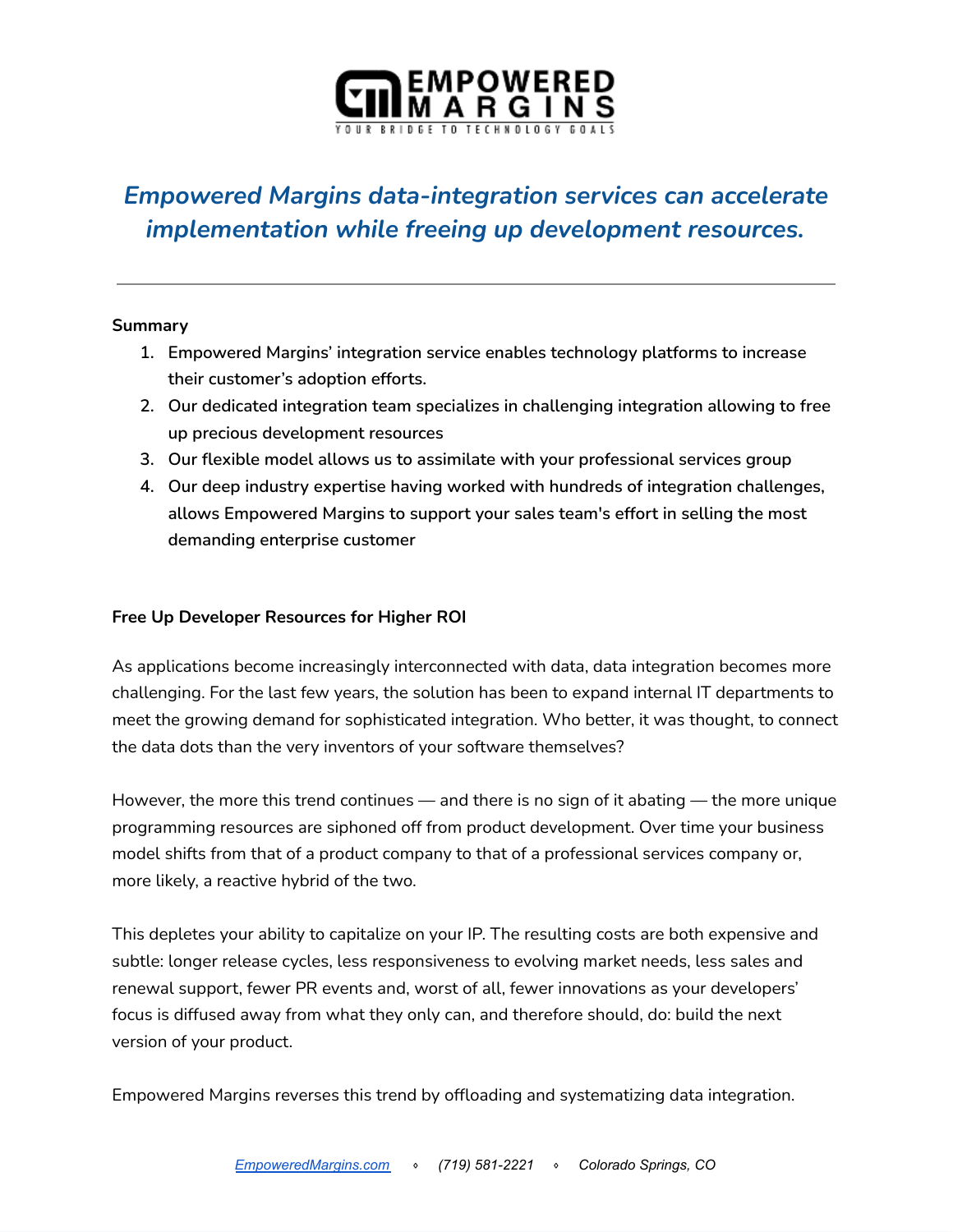

# *Empowered Margins data-integration services can accelerate implementation while freeing up development resources.*

#### **Summary**

- **1. Empowered Margins' integration service enables technology platforms to increase their customer's adoption efforts.**
- **2. Our dedicated integration team specializes in challenging integration allowing to free up precious development resources**
- **3. Our flexible model allows us to assimilate with your professional services group**
- **4. Our deep industry expertise having worked with hundreds of integration challenges, allows Empowered Margins to support your sales team's effort in selling the most demanding enterprise customer**

#### **Free Up Developer Resources for Higher ROI**

As applications become increasingly interconnected with data, data integration becomes more challenging. For the last few years, the solution has been to expand internal IT departments to meet the growing demand for sophisticated integration. Who better, it was thought, to connect the data dots than the very inventors of your software themselves?

However, the more this trend continues — and there is no sign of it abating — the more unique programming resources are siphoned off from product development. Over time your business model shifts from that of a product company to that of a professional services company or, more likely, a reactive hybrid of the two.

This depletes your ability to capitalize on your IP. The resulting costs are both expensive and subtle: longer release cycles, less responsiveness to evolving market needs, less sales and renewal support, fewer PR events and, worst of all, fewer innovations as your developers' focus is diffused away from what they only can, and therefore should, do: build the next version of your product.

Empowered Margins reverses this trend by offloading and systematizing data integration.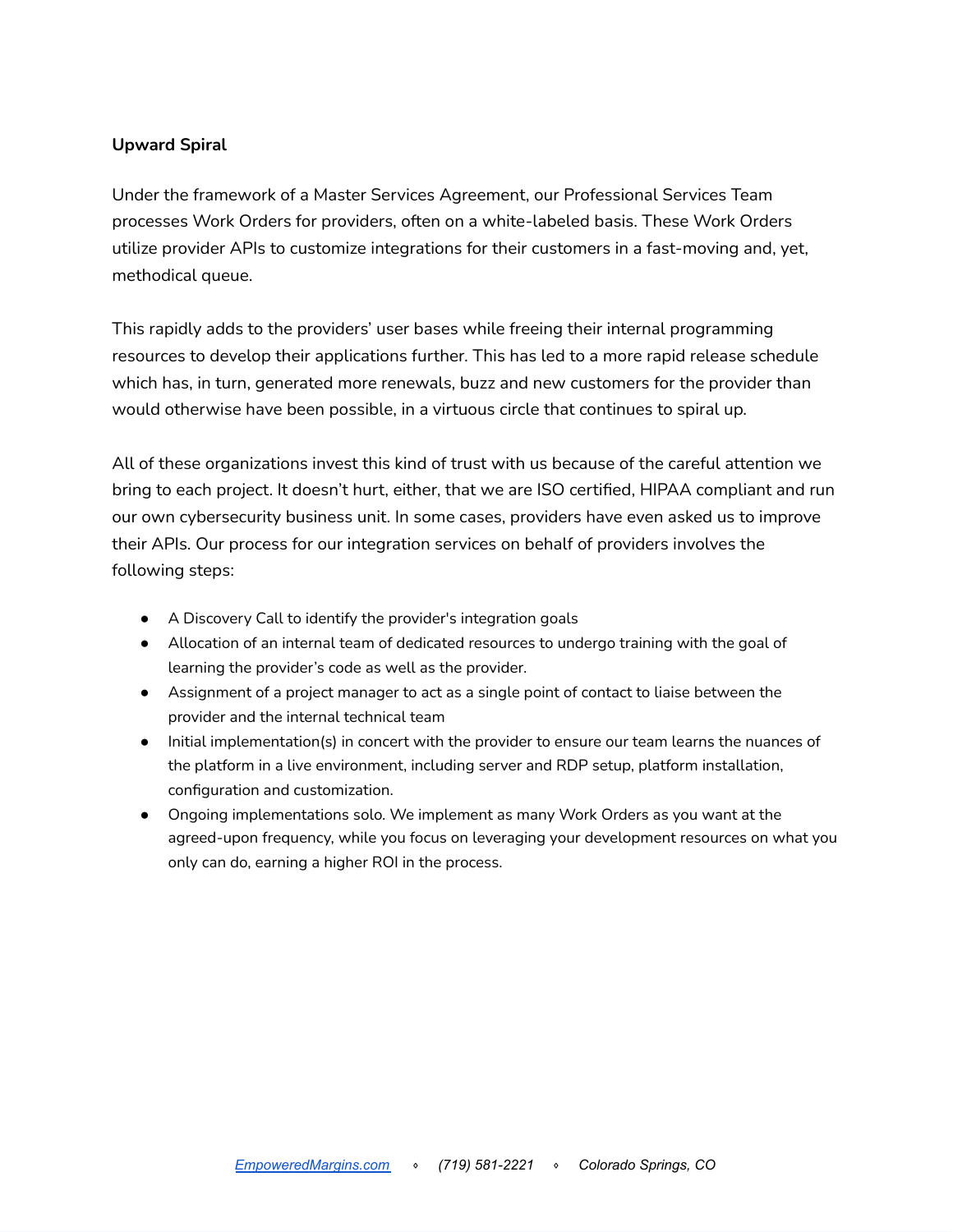#### **Upward Spiral**

Under the framework of a Master Services Agreement, our Professional Services Team processes Work Orders for providers, often on a white-labeled basis. These Work Orders utilize provider APIs to customize integrations for their customers in a fast-moving and, yet, methodical queue.

This rapidly adds to the providers' user bases while freeing their internal programming resources to develop their applications further. This has led to a more rapid release schedule which has, in turn, generated more renewals, buzz and new customers for the provider than would otherwise have been possible, in a virtuous circle that continues to spiral up.

All of these organizations invest this kind of trust with us because of the careful attention we bring to each project. It doesn't hurt, either, that we are ISO certified, HIPAA compliant and run our own cybersecurity business unit. In some cases, providers have even asked us to improve their APIs. Our process for our integration services on behalf of providers involves the following steps:

- A Discovery Call to identify the provider's integration goals
- Allocation of an internal team of dedicated resources to undergo training with the goal of learning the provider's code as well as the provider.
- Assignment of a project manager to act as a single point of contact to liaise between the provider and the internal technical team
- Initial implementation(s) in concert with the provider to ensure our team learns the nuances of the platform in a live environment, including server and RDP setup, platform installation, configuration and customization.
- Ongoing implementations solo. We implement as many Work Orders as you want at the agreed-upon frequency, while you focus on leveraging your development resources on what you only can do, earning a higher ROI in the process.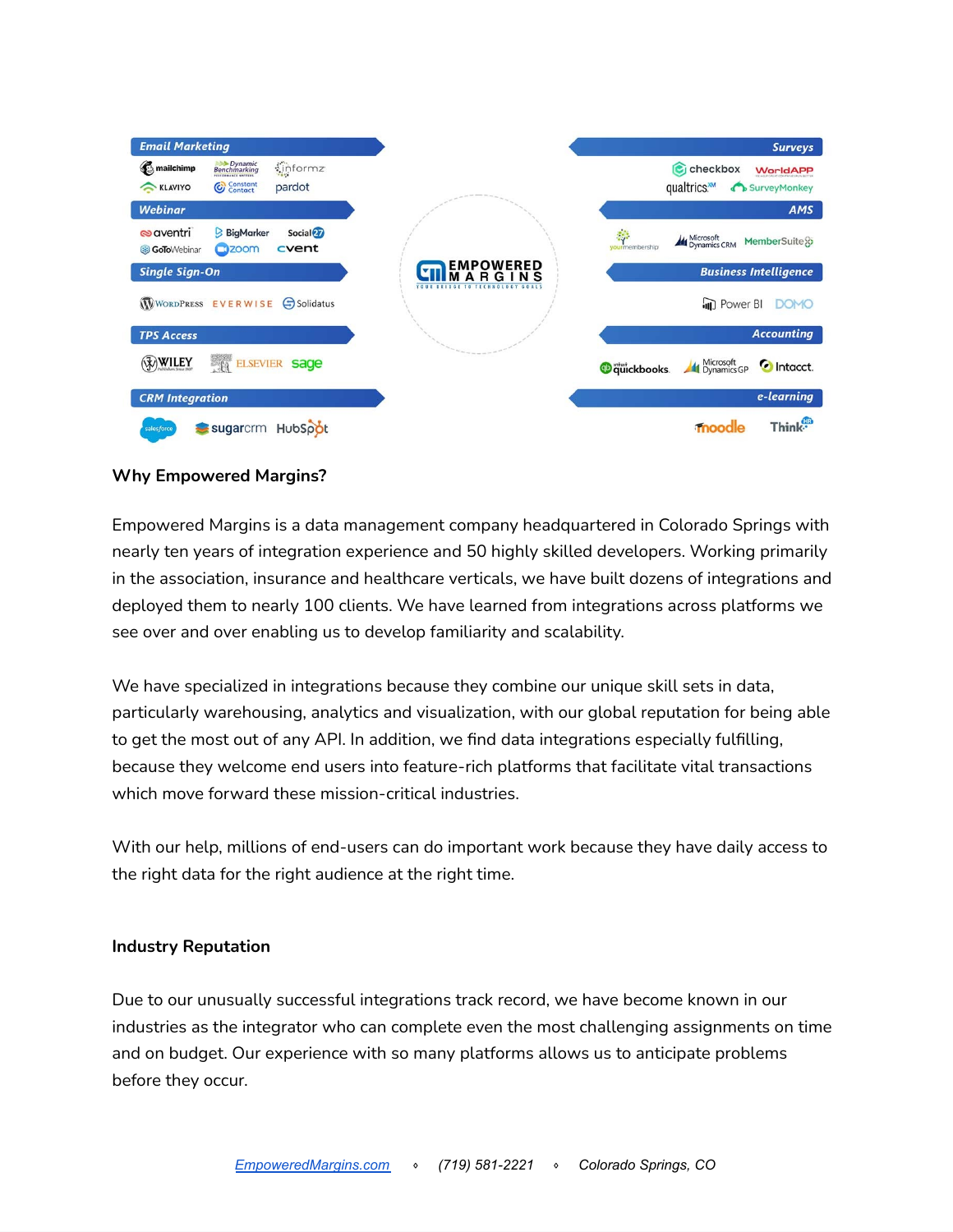| <b>Email Marketing</b>                  |                               |                               |                                    |                             |                              | <b>Surveys</b>     |
|-----------------------------------------|-------------------------------|-------------------------------|------------------------------------|-----------------------------|------------------------------|--------------------|
| mailchimp                               | <b>Benchmarking</b>           | $\frac{1}{2}$ informz         |                                    |                             | <b>C</b> j checkbox          | <b>WorldAPP</b>    |
| KLAVIYO                                 | Constant<br>Contact           | pardot                        |                                    |                             | qualtrics.                   | SurveyMonkey       |
| <b>Webinar</b>                          |                               |                               |                                    |                             |                              | <b>AMS</b>         |
| <b>s</b> aventri<br><b>GoTo</b> Webinar | <b>BigMarker</b><br>$C2$ zoom | Social <sup>27</sup><br>cvent |                                    | 弊<br>vourmembership         | Microsoft<br>Dynamics CRM    | MemberSuite o      |
| <b>Single Sign-On</b>                   |                               |                               | <b>EMPOWERED</b>                   |                             | <b>Business Intelligence</b> |                    |
|                                         | WORDPRESS EVERWISE            | Solidatus                     | YOUR RRIDGE TO TECHNOLOGY<br>G0415 |                             | <b>III</b> Power BI          | <b>DOMO</b>        |
| <b>TPS Access</b>                       |                               |                               |                                    |                             |                              | <b>Accounting</b>  |
| WILEY                                   | ×.                            | ELSEVIER Sage                 |                                    | <b><i>O</i></b> quickbooks. | Microsoft<br>All Dynamics GP | C Intacct.         |
| <b>CRM</b> Integration                  |                               |                               |                                    |                             |                              | e-learning         |
| salesforce                              | sugarcrm HubSpot              |                               |                                    |                             | moodle                       | Think <sup>®</sup> |

#### **Why Empowered Margins?**

Empowered Margins is a data management company headquartered in Colorado Springs with nearly ten years of integration experience and 50 highly skilled developers. Working primarily in the association, insurance and healthcare verticals, we have built dozens of integrations and deployed them to nearly 100 clients. We have learned from integrations across platforms we see over and over enabling us to develop familiarity and scalability.

We have specialized in integrations because they combine our unique skill sets in data, particularly warehousing, analytics and visualization, with our global reputation for being able to get the most out of any API. In addition, we find data integrations especially fulfilling, because they welcome end users into feature-rich platforms that facilitate vital transactions which move forward these mission-critical industries.

With our help, millions of end-users can do important work because they have daily access to the right data for the right audience at the right time.

#### **Industry Reputation**

Due to our unusually successful integrations track record, we have become known in our industries as the integrator who can complete even the most challenging assignments on time and on budget. Our experience with so many platforms allows us to anticipate problems before they occur.